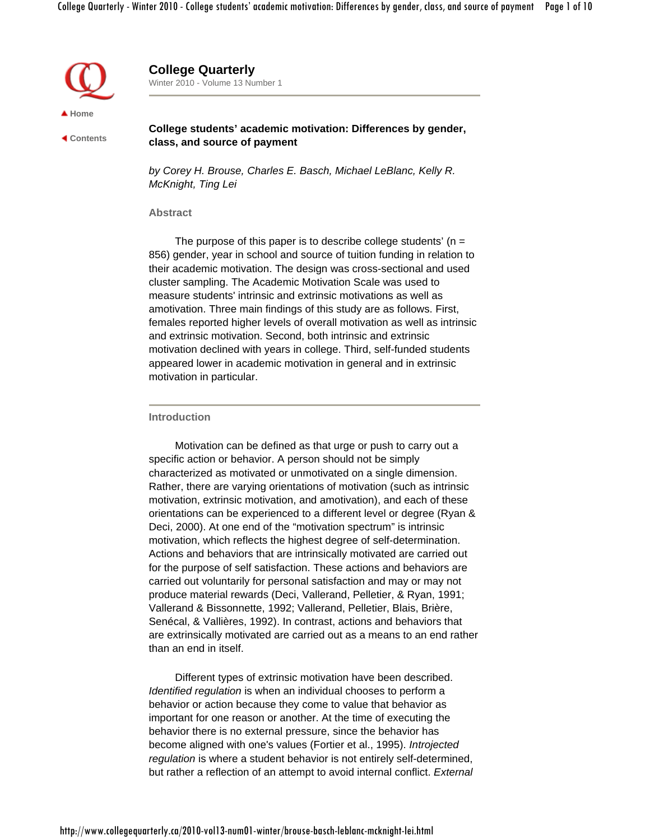

 **Contents**

**College Quarterly** Winter 2010 - Volume 13 Number 1

**College students' academic motivation: Differences by gender, class, and source of payment**

*by Corey H. Brouse, Charles E. Basch, Michael LeBlanc, Kelly R. McKnight, Ting Lei*

### **Abstract**

The purpose of this paper is to describe college students'  $(n =$ 856) gender, year in school and source of tuition funding in relation to their academic motivation. The design was cross-sectional and used cluster sampling. The Academic Motivation Scale was used to measure students' intrinsic and extrinsic motivations as well as amotivation. Three main findings of this study are as follows. First, females reported higher levels of overall motivation as well as intrinsic and extrinsic motivation. Second, both intrinsic and extrinsic motivation declined with years in college. Third, self-funded students appeared lower in academic motivation in general and in extrinsic motivation in particular.

#### **Introduction**

Motivation can be defined as that urge or push to carry out a specific action or behavior. A person should not be simply characterized as motivated or unmotivated on a single dimension. Rather, there are varying orientations of motivation (such as intrinsic motivation, extrinsic motivation, and amotivation), and each of these orientations can be experienced to a different level or degree (Ryan & Deci, 2000). At one end of the "motivation spectrum" is intrinsic motivation, which reflects the highest degree of self-determination. Actions and behaviors that are intrinsically motivated are carried out for the purpose of self satisfaction. These actions and behaviors are carried out voluntarily for personal satisfaction and may or may not produce material rewards (Deci, Vallerand, Pelletier, & Ryan, 1991; Vallerand & Bissonnette, 1992; Vallerand, Pelletier, Blais, Brière, Senécal, & Vallières, 1992). In contrast, actions and behaviors that are extrinsically motivated are carried out as a means to an end rather than an end in itself.

Different types of extrinsic motivation have been described. *Identified regulation* is when an individual chooses to perform a behavior or action because they come to value that behavior as important for one reason or another. At the time of executing the behavior there is no external pressure, since the behavior has become aligned with one's values (Fortier et al., 1995). *Introjected regulation* is where a student behavior is not entirely self-determined, but rather a reflection of an attempt to avoid internal conflict. *External*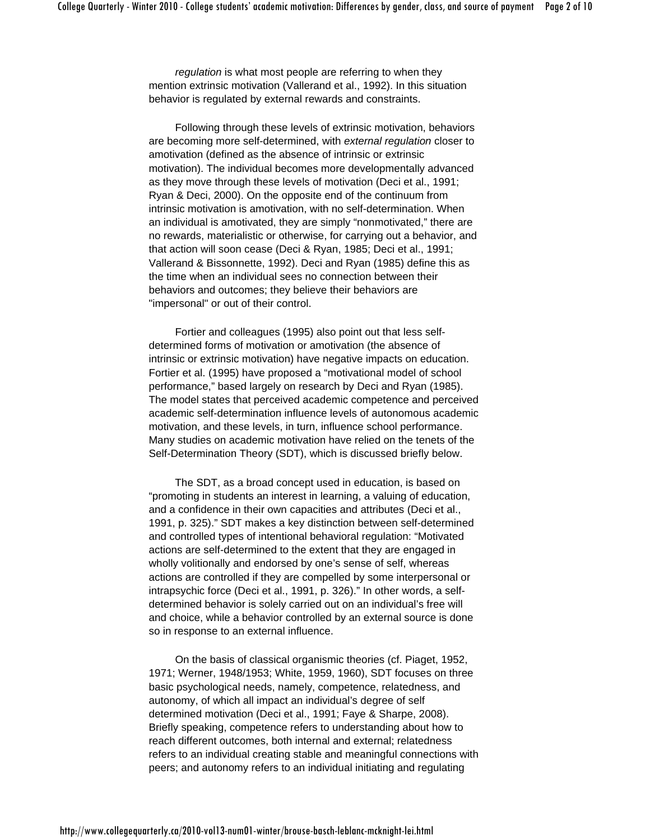*regulation* is what most people are referring to when they mention extrinsic motivation (Vallerand et al., 1992). In this situation behavior is regulated by external rewards and constraints.

Following through these levels of extrinsic motivation, behaviors are becoming more self-determined, with *external regulation* closer to amotivation (defined as the absence of intrinsic or extrinsic motivation). The individual becomes more developmentally advanced as they move through these levels of motivation (Deci et al., 1991; Ryan & Deci, 2000). On the opposite end of the continuum from intrinsic motivation is amotivation, with no self-determination. When an individual is amotivated, they are simply "nonmotivated," there are no rewards, materialistic or otherwise, for carrying out a behavior, and that action will soon cease (Deci & Ryan, 1985; Deci et al., 1991; Vallerand & Bissonnette, 1992). Deci and Ryan (1985) define this as the time when an individual sees no connection between their behaviors and outcomes; they believe their behaviors are "impersonal" or out of their control.

Fortier and colleagues (1995) also point out that less selfdetermined forms of motivation or amotivation (the absence of intrinsic or extrinsic motivation) have negative impacts on education. Fortier et al. (1995) have proposed a "motivational model of school performance," based largely on research by Deci and Ryan (1985). The model states that perceived academic competence and perceived academic self-determination influence levels of autonomous academic motivation, and these levels, in turn, influence school performance. Many studies on academic motivation have relied on the tenets of the Self-Determination Theory (SDT), which is discussed briefly below.

The SDT, as a broad concept used in education, is based on "promoting in students an interest in learning, a valuing of education, and a confidence in their own capacities and attributes (Deci et al., 1991, p. 325)." SDT makes a key distinction between self-determined and controlled types of intentional behavioral regulation: "Motivated actions are self-determined to the extent that they are engaged in wholly volitionally and endorsed by one's sense of self, whereas actions are controlled if they are compelled by some interpersonal or intrapsychic force (Deci et al., 1991, p. 326)." In other words, a selfdetermined behavior is solely carried out on an individual's free will and choice, while a behavior controlled by an external source is done so in response to an external influence.

On the basis of classical organismic theories (cf. Piaget, 1952, 1971; Werner, 1948/1953; White, 1959, 1960), SDT focuses on three basic psychological needs, namely, competence, relatedness, and autonomy, of which all impact an individual's degree of self determined motivation (Deci et al., 1991; Faye & Sharpe, 2008). Briefly speaking, competence refers to understanding about how to reach different outcomes, both internal and external; relatedness refers to an individual creating stable and meaningful connections with peers; and autonomy refers to an individual initiating and regulating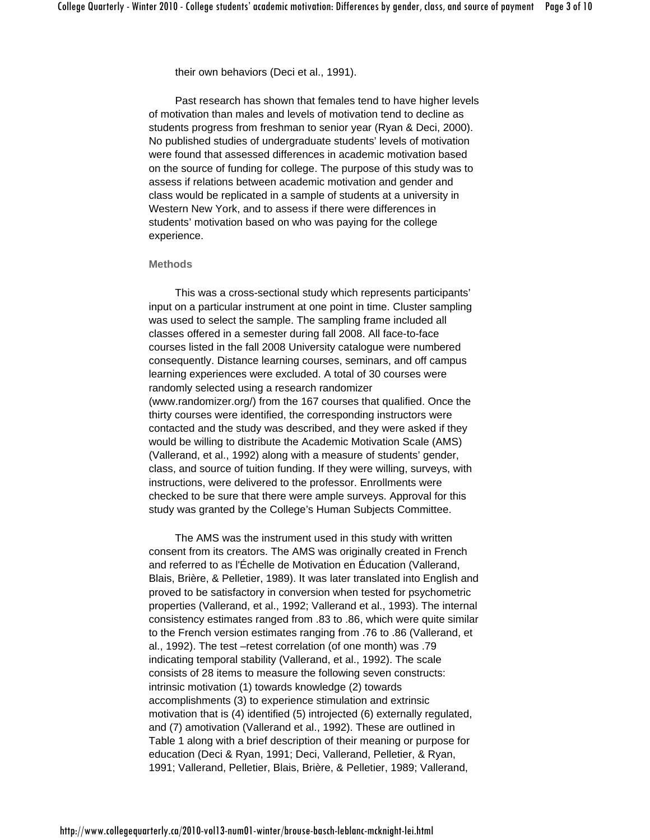their own behaviors (Deci et al., 1991).

Past research has shown that females tend to have higher levels of motivation than males and levels of motivation tend to decline as students progress from freshman to senior year (Ryan & Deci, 2000). No published studies of undergraduate students' levels of motivation were found that assessed differences in academic motivation based on the source of funding for college. The purpose of this study was to assess if relations between academic motivation and gender and class would be replicated in a sample of students at a university in Western New York, and to assess if there were differences in students' motivation based on who was paying for the college experience.

## **Methods**

This was a cross-sectional study which represents participants' input on a particular instrument at one point in time. Cluster sampling was used to select the sample. The sampling frame included all classes offered in a semester during fall 2008. All face-to-face courses listed in the fall 2008 University catalogue were numbered consequently. Distance learning courses, seminars, and off campus learning experiences were excluded. A total of 30 courses were randomly selected using a research randomizer (www.randomizer.org/) from the 167 courses that qualified. Once the thirty courses were identified, the corresponding instructors were contacted and the study was described, and they were asked if they would be willing to distribute the Academic Motivation Scale (AMS) (Vallerand, et al., 1992) along with a measure of students' gender, class, and source of tuition funding. If they were willing, surveys, with instructions, were delivered to the professor. Enrollments were checked to be sure that there were ample surveys. Approval for this study was granted by the College's Human Subjects Committee.

The AMS was the instrument used in this study with written consent from its creators. The AMS was originally created in French and referred to as l'Échelle de Motivation en Éducation (Vallerand, Blais, Brière, & Pelletier, 1989). It was later translated into English and proved to be satisfactory in conversion when tested for psychometric properties (Vallerand, et al., 1992; Vallerand et al., 1993). The internal consistency estimates ranged from .83 to .86, which were quite similar to the French version estimates ranging from .76 to .86 (Vallerand, et al., 1992). The test –retest correlation (of one month) was .79 indicating temporal stability (Vallerand, et al., 1992). The scale consists of 28 items to measure the following seven constructs: intrinsic motivation (1) towards knowledge (2) towards accomplishments (3) to experience stimulation and extrinsic motivation that is (4) identified (5) introjected (6) externally regulated, and (7) amotivation (Vallerand et al., 1992). These are outlined in Table 1 along with a brief description of their meaning or purpose for education (Deci & Ryan, 1991; Deci, Vallerand, Pelletier, & Ryan, 1991; Vallerand, Pelletier, Blais, Brière, & Pelletier, 1989; Vallerand,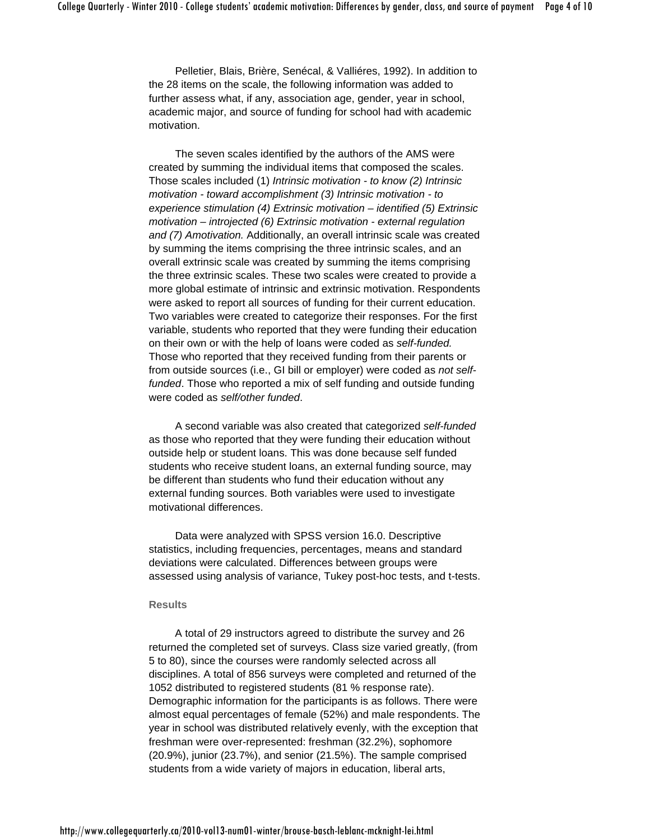Pelletier, Blais, Brière, Senécal, & Valliéres, 1992). In addition to the 28 items on the scale, the following information was added to further assess what, if any, association age, gender, year in school, academic major, and source of funding for school had with academic motivation.

The seven scales identified by the authors of the AMS were created by summing the individual items that composed the scales. Those scales included (1) *Intrinsic motivation - to know (2) Intrinsic motivation - toward accomplishment (3) Intrinsic motivation - to experience stimulation (4) Extrinsic motivation – identified (5) Extrinsic motivation – introjected (6) Extrinsic motivation - external regulation and (7) Amotivation.* Additionally, an overall intrinsic scale was created by summing the items comprising the three intrinsic scales, and an overall extrinsic scale was created by summing the items comprising the three extrinsic scales. These two scales were created to provide a more global estimate of intrinsic and extrinsic motivation. Respondents were asked to report all sources of funding for their current education. Two variables were created to categorize their responses. For the first variable, students who reported that they were funding their education on their own or with the help of loans were coded as *self-funded.* Those who reported that they received funding from their parents or from outside sources (i.e., GI bill or employer) were coded as *not selffunded*. Those who reported a mix of self funding and outside funding were coded as *self/other funded*.

A second variable was also created that categorized *self-funded* as those who reported that they were funding their education without outside help or student loans. This was done because self funded students who receive student loans, an external funding source, may be different than students who fund their education without any external funding sources. Both variables were used to investigate motivational differences.

Data were analyzed with SPSS version 16.0. Descriptive statistics, including frequencies, percentages, means and standard deviations were calculated. Differences between groups were assessed using analysis of variance, Tukey post-hoc tests, and t-tests.

#### **Results**

A total of 29 instructors agreed to distribute the survey and 26 returned the completed set of surveys. Class size varied greatly, (from 5 to 80), since the courses were randomly selected across all disciplines. A total of 856 surveys were completed and returned of the 1052 distributed to registered students (81 % response rate). Demographic information for the participants is as follows. There were almost equal percentages of female (52%) and male respondents. The year in school was distributed relatively evenly, with the exception that freshman were over-represented: freshman (32.2%), sophomore (20.9%), junior (23.7%), and senior (21.5%). The sample comprised students from a wide variety of majors in education, liberal arts,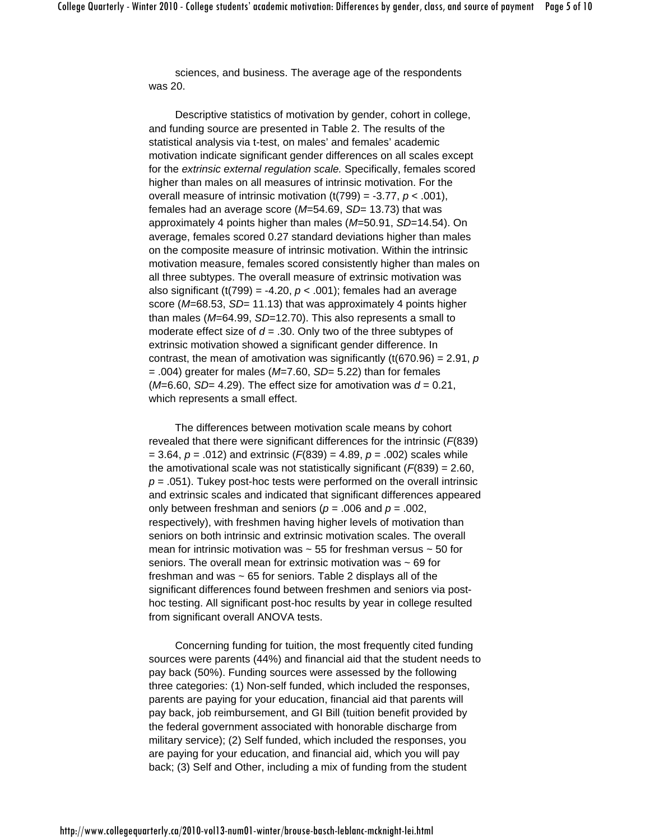sciences, and business. The average age of the respondents was 20.

Descriptive statistics of motivation by gender, cohort in college, and funding source are presented in Table 2. The results of the statistical analysis via t-test, on males' and females' academic motivation indicate significant gender differences on all scales except for the *extrinsic external regulation scale.* Specifically, females scored higher than males on all measures of intrinsic motivation. For the overall measure of intrinsic motivation  $(t(799) = -3.77, p < .001)$ , females had an average score (*M*=54.69, *SD*= 13.73) that was approximately 4 points higher than males (*M*=50.91, *SD*=14.54). On average, females scored 0.27 standard deviations higher than males on the composite measure of intrinsic motivation. Within the intrinsic motivation measure, females scored consistently higher than males on all three subtypes. The overall measure of extrinsic motivation was also significant (t(799) = -4.20,  $p < .001$ ); females had an average score (*M*=68.53, *SD*= 11.13) that was approximately 4 points higher than males (*M*=64.99, *SD*=12.70). This also represents a small to moderate effect size of *d* = .30. Only two of the three subtypes of extrinsic motivation showed a significant gender difference. In contrast, the mean of amotivation was significantly (t(670.96) = 2.91, *p*  = .004) greater for males (*M*=7.60, *SD*= 5.22) than for females  $(M=6.60, SD=4.29)$ . The effect size for amotivation was  $d = 0.21$ , which represents a small effect.

The differences between motivation scale means by cohort revealed that there were significant differences for the intrinsic (*F*(839) = 3.64, *p* = .012) and extrinsic (*F*(839) = 4.89, *p* = .002) scales while the amotivational scale was not statistically significant (*F*(839) = 2.60,  $p = .051$ ). Tukey post-hoc tests were performed on the overall intrinsic and extrinsic scales and indicated that significant differences appeared only between freshman and seniors (*p* = .006 and *p* = .002, respectively), with freshmen having higher levels of motivation than seniors on both intrinsic and extrinsic motivation scales. The overall mean for intrinsic motivation was  $\sim$  55 for freshman versus  $\sim$  50 for seniors. The overall mean for extrinsic motivation was ~ 69 for freshman and was  $\sim 65$  for seniors. Table 2 displays all of the significant differences found between freshmen and seniors via posthoc testing. All significant post-hoc results by year in college resulted from significant overall ANOVA tests.

Concerning funding for tuition, the most frequently cited funding sources were parents (44%) and financial aid that the student needs to pay back (50%). Funding sources were assessed by the following three categories: (1) Non-self funded, which included the responses, parents are paying for your education, financial aid that parents will pay back, job reimbursement, and GI Bill (tuition benefit provided by the federal government associated with honorable discharge from military service); (2) Self funded, which included the responses, you are paying for your education, and financial aid, which you will pay back; (3) Self and Other, including a mix of funding from the student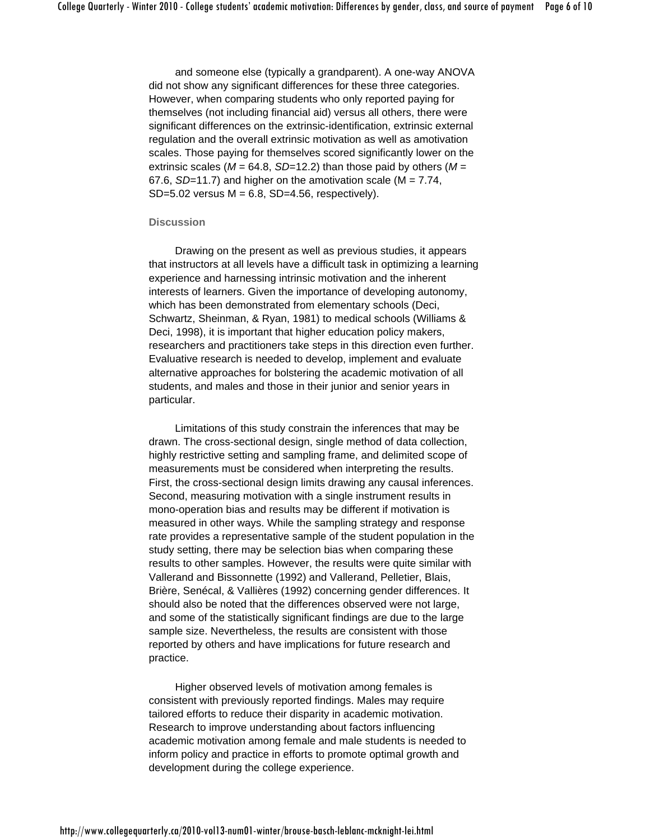and someone else (typically a grandparent). A one-way ANOVA did not show any significant differences for these three categories. However, when comparing students who only reported paying for themselves (not including financial aid) versus all others, there were significant differences on the extrinsic-identification, extrinsic external regulation and the overall extrinsic motivation as well as amotivation scales. Those paying for themselves scored significantly lower on the extrinsic scales ( $M = 64.8$ , *SD*=12.2) than those paid by others ( $M =$ 67.6, *SD*=11.7) and higher on the amotivation scale (M = 7.74, SD= $5.02$  versus M =  $6.8$ , SD= $4.56$ , respectively).

# **Discussion**

Drawing on the present as well as previous studies, it appears that instructors at all levels have a difficult task in optimizing a learning experience and harnessing intrinsic motivation and the inherent interests of learners. Given the importance of developing autonomy, which has been demonstrated from elementary schools (Deci, Schwartz, Sheinman, & Ryan, 1981) to medical schools (Williams & Deci, 1998), it is important that higher education policy makers, researchers and practitioners take steps in this direction even further. Evaluative research is needed to develop, implement and evaluate alternative approaches for bolstering the academic motivation of all students, and males and those in their junior and senior years in particular.

Limitations of this study constrain the inferences that may be drawn. The cross-sectional design, single method of data collection, highly restrictive setting and sampling frame, and delimited scope of measurements must be considered when interpreting the results. First, the cross-sectional design limits drawing any causal inferences. Second, measuring motivation with a single instrument results in mono-operation bias and results may be different if motivation is measured in other ways. While the sampling strategy and response rate provides a representative sample of the student population in the study setting, there may be selection bias when comparing these results to other samples. However, the results were quite similar with Vallerand and Bissonnette (1992) and Vallerand, Pelletier, Blais, Brière, Senécal, & Vallières (1992) concerning gender differences. It should also be noted that the differences observed were not large, and some of the statistically significant findings are due to the large sample size. Nevertheless, the results are consistent with those reported by others and have implications for future research and practice.

Higher observed levels of motivation among females is consistent with previously reported findings. Males may require tailored efforts to reduce their disparity in academic motivation. Research to improve understanding about factors influencing academic motivation among female and male students is needed to inform policy and practice in efforts to promote optimal growth and development during the college experience.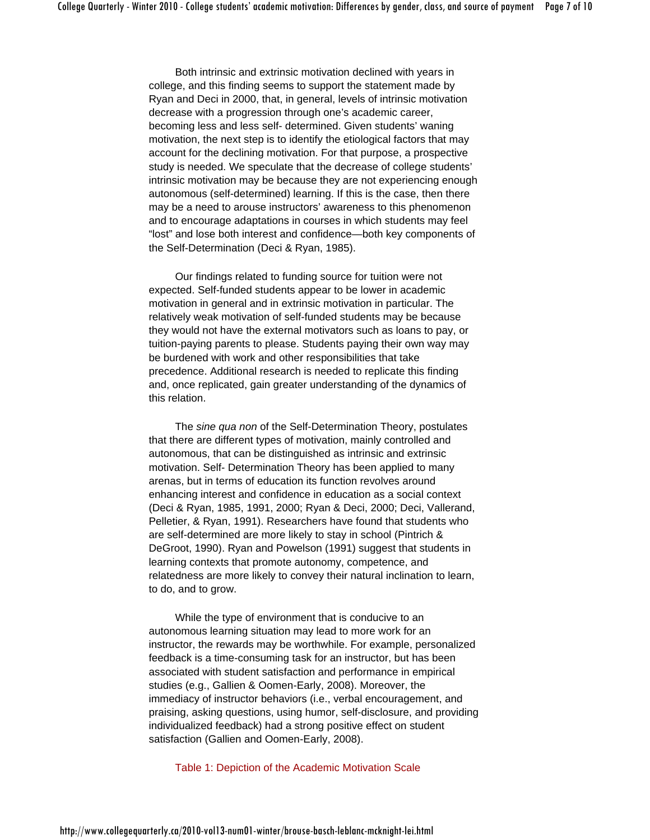Both intrinsic and extrinsic motivation declined with years in college, and this finding seems to support the statement made by Ryan and Deci in 2000, that, in general, levels of intrinsic motivation decrease with a progression through one's academic career, becoming less and less self- determined. Given students' waning motivation, the next step is to identify the etiological factors that may account for the declining motivation. For that purpose, a prospective study is needed. We speculate that the decrease of college students' intrinsic motivation may be because they are not experiencing enough autonomous (self-determined) learning. If this is the case, then there may be a need to arouse instructors' awareness to this phenomenon and to encourage adaptations in courses in which students may feel "lost" and lose both interest and confidence—both key components of the Self-Determination (Deci & Ryan, 1985).

Our findings related to funding source for tuition were not expected. Self-funded students appear to be lower in academic motivation in general and in extrinsic motivation in particular. The relatively weak motivation of self-funded students may be because they would not have the external motivators such as loans to pay, or tuition-paying parents to please. Students paying their own way may be burdened with work and other responsibilities that take precedence. Additional research is needed to replicate this finding and, once replicated, gain greater understanding of the dynamics of this relation.

The *sine qua non* of the Self-Determination Theory, postulates that there are different types of motivation, mainly controlled and autonomous, that can be distinguished as intrinsic and extrinsic motivation. Self- Determination Theory has been applied to many arenas, but in terms of education its function revolves around enhancing interest and confidence in education as a social context (Deci & Ryan, 1985, 1991, 2000; Ryan & Deci, 2000; Deci, Vallerand, Pelletier, & Ryan, 1991). Researchers have found that students who are self-determined are more likely to stay in school (Pintrich & DeGroot, 1990). Ryan and Powelson (1991) suggest that students in learning contexts that promote autonomy, competence, and relatedness are more likely to convey their natural inclination to learn, to do, and to grow.

While the type of environment that is conducive to an autonomous learning situation may lead to more work for an instructor, the rewards may be worthwhile. For example, personalized feedback is a time-consuming task for an instructor, but has been associated with student satisfaction and performance in empirical studies (e.g., Gallien & Oomen-Early, 2008). Moreover, the immediacy of instructor behaviors (i.e., verbal encouragement, and praising, asking questions, using humor, self-disclosure, and providing individualized feedback) had a strong positive effect on student satisfaction (Gallien and Oomen-Early, 2008).

Table 1: Depiction of the Academic Motivation Scale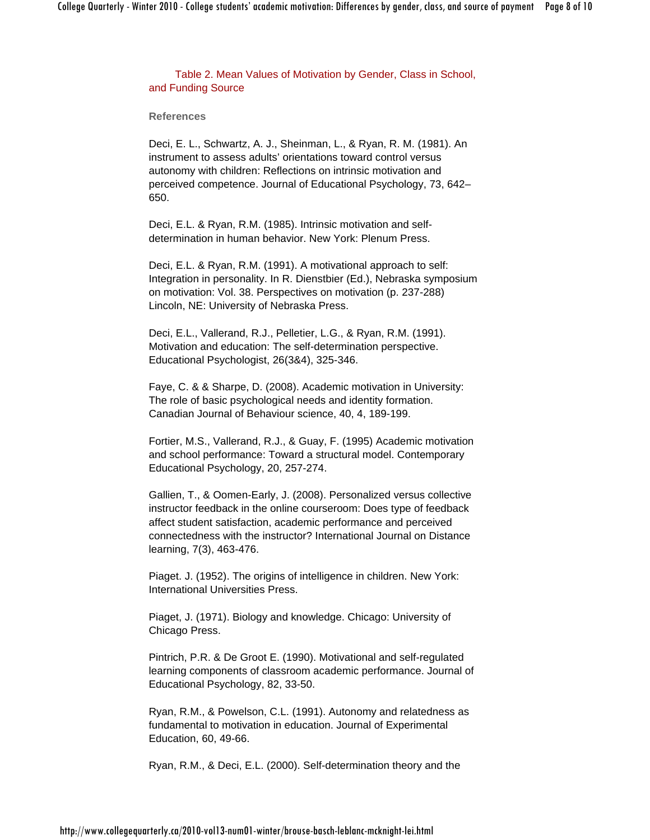Table 2. Mean Values of Motivation by Gender, Class in School, and Funding Source

**References**

Deci, E. L., Schwartz, A. J., Sheinman, L., & Ryan, R. M. (1981). An instrument to assess adults' orientations toward control versus autonomy with children: Reflections on intrinsic motivation and perceived competence. Journal of Educational Psychology, 73, 642– 650.

Deci, E.L. & Ryan, R.M. (1985). Intrinsic motivation and selfdetermination in human behavior. New York: Plenum Press.

Deci, E.L. & Ryan, R.M. (1991). A motivational approach to self: Integration in personality. In R. Dienstbier (Ed.), Nebraska symposium on motivation: Vol. 38. Perspectives on motivation (p. 237-288) Lincoln, NE: University of Nebraska Press.

Deci, E.L., Vallerand, R.J., Pelletier, L.G., & Ryan, R.M. (1991). Motivation and education: The self-determination perspective. Educational Psychologist, 26(3&4), 325-346.

Faye, C. & & Sharpe, D. (2008). Academic motivation in University: The role of basic psychological needs and identity formation. Canadian Journal of Behaviour science, 40, 4, 189-199.

Fortier, M.S., Vallerand, R.J., & Guay, F. (1995) Academic motivation and school performance: Toward a structural model. Contemporary Educational Psychology, 20, 257-274.

Gallien, T., & Oomen-Early, J. (2008). Personalized versus collective instructor feedback in the online courseroom: Does type of feedback affect student satisfaction, academic performance and perceived connectedness with the instructor? International Journal on Distance learning, 7(3), 463-476.

Piaget. J. (1952). The origins of intelligence in children. New York: International Universities Press.

Piaget, J. (1971). Biology and knowledge. Chicago: University of Chicago Press.

Pintrich, P.R. & De Groot E. (1990). Motivational and self-regulated learning components of classroom academic performance. Journal of Educational Psychology, 82, 33-50.

Ryan, R.M., & Powelson, C.L. (1991). Autonomy and relatedness as fundamental to motivation in education. Journal of Experimental Education, 60, 49-66.

Ryan, R.M., & Deci, E.L. (2000). Self-determination theory and the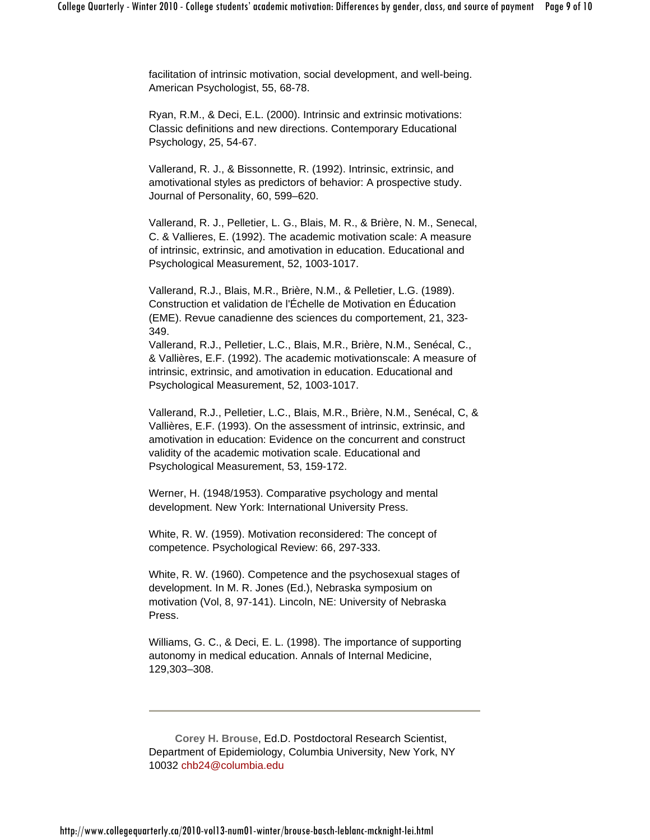facilitation of intrinsic motivation, social development, and well-being. American Psychologist, 55, 68-78.

Ryan, R.M., & Deci, E.L. (2000). Intrinsic and extrinsic motivations: Classic definitions and new directions. Contemporary Educational Psychology, 25, 54-67.

Vallerand, R. J., & Bissonnette, R. (1992). Intrinsic, extrinsic, and amotivational styles as predictors of behavior: A prospective study. Journal of Personality, 60, 599–620.

Vallerand, R. J., Pelletier, L. G., Blais, M. R., & Brière, N. M., Senecal, C. & Vallieres, E. (1992). The academic motivation scale: A measure of intrinsic, extrinsic, and amotivation in education. Educational and Psychological Measurement, 52, 1003-1017.

Vallerand, R.J., Blais, M.R., Brière, N.M., & Pelletier, L.G. (1989). Construction et validation de l'Échelle de Motivation en Éducation (EME). Revue canadienne des sciences du comportement, 21, 323- 349.

Vallerand, R.J., Pelletier, L.C., Blais, M.R., Brière, N.M., Senécal, C., & Vallières, E.F. (1992). The academic motivationscale: A measure of intrinsic, extrinsic, and amotivation in education. Educational and Psychological Measurement, 52, 1003-1017.

Vallerand, R.J., Pelletier, L.C., Blais, M.R., Brière, N.M., Senécal, C, & Vallières, E.F. (1993). On the assessment of intrinsic, extrinsic, and amotivation in education: Evidence on the concurrent and construct validity of the academic motivation scale. Educational and Psychological Measurement, 53, 159-172.

Werner, H. (1948/1953). Comparative psychology and mental development. New York: International University Press.

White, R. W. (1959). Motivation reconsidered: The concept of competence. Psychological Review: 66, 297-333.

White, R. W. (1960). Competence and the psychosexual stages of development. In M. R. Jones (Ed.), Nebraska symposium on motivation (Vol, 8, 97-141). Lincoln, NE: University of Nebraska Press.

Williams, G. C., & Deci, E. L. (1998). The importance of supporting autonomy in medical education. Annals of Internal Medicine, 129,303–308.

**Corey H. Brouse**, Ed.D. Postdoctoral Research Scientist, Department of Epidemiology, Columbia University, New York, NY 10032 chb24@columbia.edu